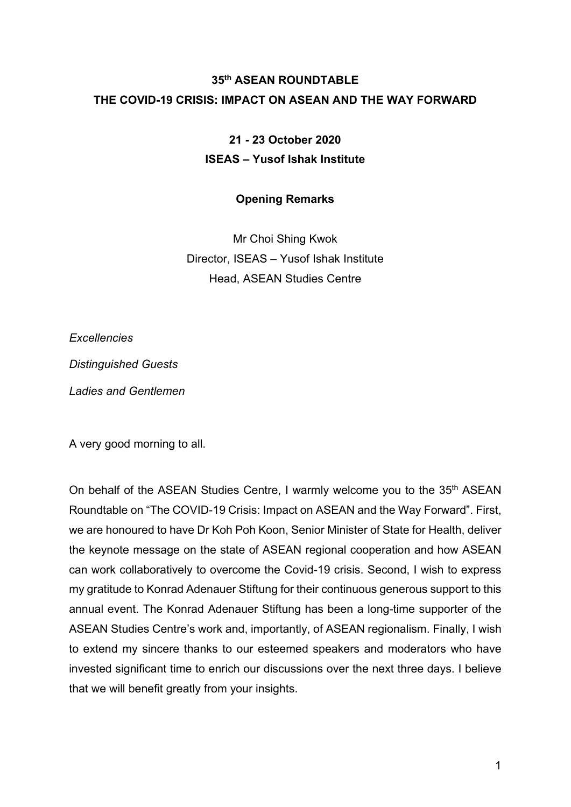## **35th ASEAN ROUNDTABLE THE COVID-19 CRISIS: IMPACT ON ASEAN AND THE WAY FORWARD**

## **21 - 23 October 2020 ISEAS – Yusof Ishak Institute**

## **Opening Remarks**

Mr Choi Shing Kwok Director, ISEAS – Yusof Ishak Institute Head, ASEAN Studies Centre

*Excellencies*

*Distinguished Guests*

*Ladies and Gentlemen*

A very good morning to all.

On behalf of the ASEAN Studies Centre, I warmly welcome you to the 35<sup>th</sup> ASEAN Roundtable on "The COVID-19 Crisis: Impact on ASEAN and the Way Forward". First, we are honoured to have Dr Koh Poh Koon, Senior Minister of State for Health, deliver the keynote message on the state of ASEAN regional cooperation and how ASEAN can work collaboratively to overcome the Covid-19 crisis. Second, I wish to express my gratitude to Konrad Adenauer Stiftung for their continuous generous support to this annual event. The Konrad Adenauer Stiftung has been a long-time supporter of the ASEAN Studies Centre's work and, importantly, of ASEAN regionalism. Finally, I wish to extend my sincere thanks to our esteemed speakers and moderators who have invested significant time to enrich our discussions over the next three days. I believe that we will benefit greatly from your insights.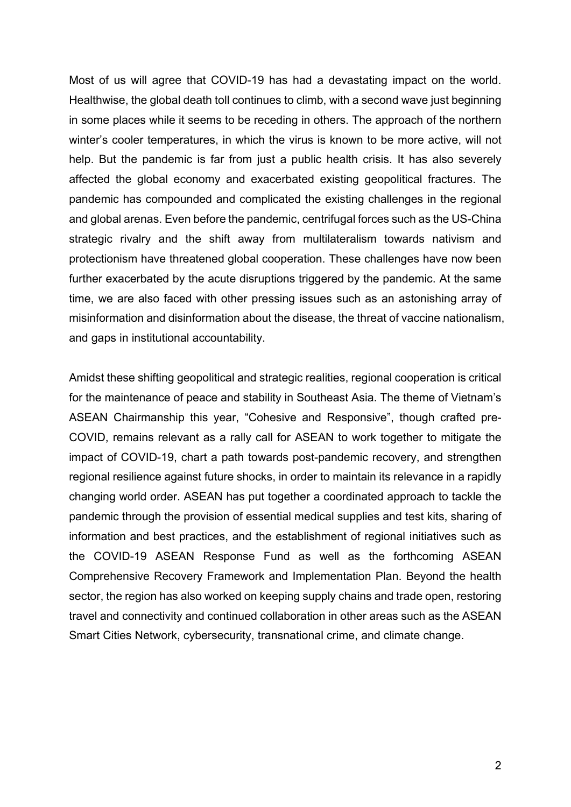Most of us will agree that COVID-19 has had a devastating impact on the world. Healthwise, the global death toll continues to climb, with a second wave just beginning in some places while it seems to be receding in others. The approach of the northern winter's cooler temperatures, in which the virus is known to be more active, will not help. But the pandemic is far from just a public health crisis. It has also severely affected the global economy and exacerbated existing geopolitical fractures. The pandemic has compounded and complicated the existing challenges in the regional and global arenas. Even before the pandemic, centrifugal forces such as the US-China strategic rivalry and the shift away from multilateralism towards nativism and protectionism have threatened global cooperation. These challenges have now been further exacerbated by the acute disruptions triggered by the pandemic. At the same time, we are also faced with other pressing issues such as an astonishing array of misinformation and disinformation about the disease, the threat of vaccine nationalism, and gaps in institutional accountability.

Amidst these shifting geopolitical and strategic realities, regional cooperation is critical for the maintenance of peace and stability in Southeast Asia. The theme of Vietnam's ASEAN Chairmanship this year, "Cohesive and Responsive", though crafted pre-COVID, remains relevant as a rally call for ASEAN to work together to mitigate the impact of COVID-19, chart a path towards post-pandemic recovery, and strengthen regional resilience against future shocks, in order to maintain its relevance in a rapidly changing world order. ASEAN has put together a coordinated approach to tackle the pandemic through the provision of essential medical supplies and test kits, sharing of information and best practices, and the establishment of regional initiatives such as the COVID-19 ASEAN Response Fund as well as the forthcoming ASEAN Comprehensive Recovery Framework and Implementation Plan. Beyond the health sector, the region has also worked on keeping supply chains and trade open, restoring travel and connectivity and continued collaboration in other areas such as the ASEAN Smart Cities Network, cybersecurity, transnational crime, and climate change.